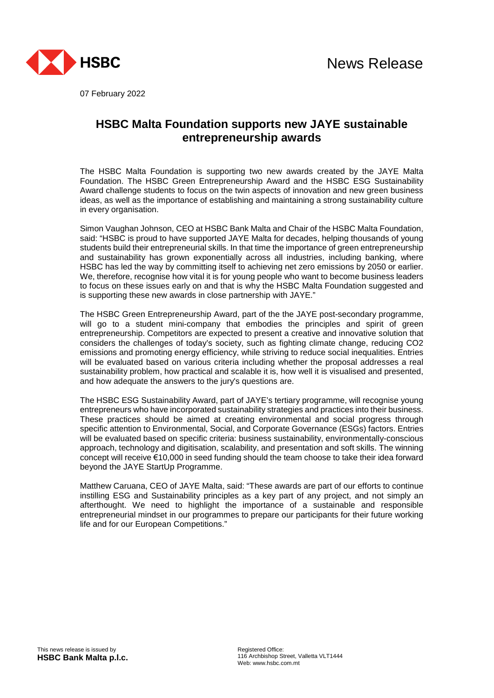

07 February 2022

# **HSBC Malta Foundation supports new JAYE sustainable entrepreneurship awards**

The HSBC Malta Foundation is supporting two new awards created by the JAYE Malta Foundation. The HSBC Green Entrepreneurship Award and the HSBC ESG Sustainability Award challenge students to focus on the twin aspects of innovation and new green business ideas, as well as the importance of establishing and maintaining a strong sustainability culture in every organisation.

Simon Vaughan Johnson, CEO at HSBC Bank Malta and Chair of the HSBC Malta Foundation, said: "HSBC is proud to have supported JAYE Malta for decades, helping thousands of young students build their entrepreneurial skills. In that time the importance of green entrepreneurship and sustainability has grown exponentially across all industries, including banking, where HSBC has led the way by committing itself to achieving net zero emissions by 2050 or earlier. We, therefore, recognise how vital it is for young people who want to become business leaders to focus on these issues early on and that is why the HSBC Malta Foundation suggested and is supporting these new awards in close partnership with JAYE."

The HSBC Green Entrepreneurship Award, part of the the JAYE post-secondary programme, will go to a student mini-company that embodies the principles and spirit of green entrepreneurship. Competitors are expected to present a creative and innovative solution that considers the challenges of today's society, such as fighting climate change, reducing CO2 emissions and promoting energy efficiency, while striving to reduce social inequalities. Entries will be evaluated based on various criteria including whether the proposal addresses a real sustainability problem, how practical and scalable it is, how well it is visualised and presented, and how adequate the answers to the jury's questions are.

The HSBC ESG Sustainability Award, part of JAYE's tertiary programme, will recognise young entrepreneurs who have incorporated sustainability strategies and practices into their business. These practices should be aimed at creating environmental and social progress through specific attention to Environmental, Social, and Corporate Governance (ESGs) factors. Entries will be evaluated based on specific criteria: business sustainability, environmentally-conscious approach, technology and digitisation, scalability, and presentation and soft skills. The winning concept will receive €10,000 in seed funding should the team choose to take their idea forward beyond the JAYE StartUp Programme.

Matthew Caruana, CEO of JAYE Malta, said: "These awards are part of our efforts to continue instilling ESG and Sustainability principles as a key part of any project, and not simply an afterthought. We need to highlight the importance of a sustainable and responsible entrepreneurial mindset in our programmes to prepare our participants for their future working life and for our European Competitions."